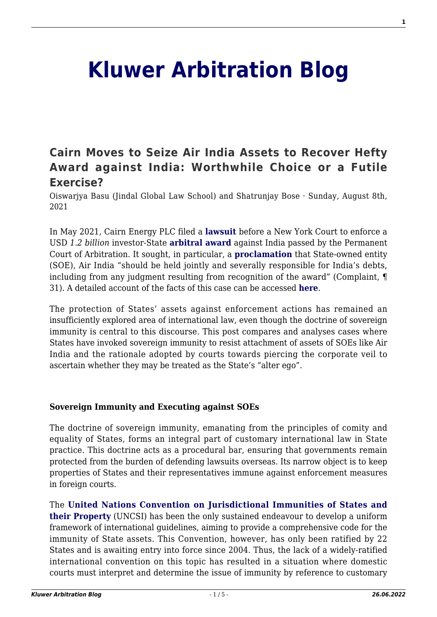# **[Kluwer Arbitration Blog](http://arbitrationblog.kluwerarbitration.com/)**

## **[Cairn Moves to Seize Air India Assets to Recover Hefty](http://arbitrationblog.kluwerarbitration.com/2021/08/08/cairn-moves-to-seize-air-india-assets-to-recover-hefty-award-against-india-worthwhile-choice-or-a-futile-exercise/) [Award against India: Worthwhile Choice or a Futile](http://arbitrationblog.kluwerarbitration.com/2021/08/08/cairn-moves-to-seize-air-india-assets-to-recover-hefty-award-against-india-worthwhile-choice-or-a-futile-exercise/) [Exercise?](http://arbitrationblog.kluwerarbitration.com/2021/08/08/cairn-moves-to-seize-air-india-assets-to-recover-hefty-award-against-india-worthwhile-choice-or-a-futile-exercise/)**

Oiswarjya Basu (Jindal Global Law School) and Shatrunjay Bose · Sunday, August 8th, 2021

In May 2021, Cairn Energy PLC filed a **[lawsuit](https://dockets.justia.com/docket/new-york/nysdce/1:2021cv04375/560369)** before a New York Court to enforce a USD *1.2 billion* investor-State **[arbitral award](https://jusmundi.com/en/document/decision/en-cairn-energy-plc-and-cairn-uk-holdings-limited-v-the-republic-of-india-final-award-wednesday-23rd-december-2020)** against India passed by the Permanent Court of Arbitration. It sought, in particular, a **[proclamation](https://www.transnational-dispute-management.com/legal-and-regulatory-detail.asp?key=28668)** that State-owned entity (SOE), Air India "should be held jointly and severally responsible for India's debts, including from any judgment resulting from recognition of the award" (Complaint, ¶ 31). A detailed account of the facts of this case can be accessed **[here](http://arbitrationblog.kluwerarbitration.com/2021/07/02/the-cairn-energy-v-india-saga-a-case-of-retrospective-tax-and-sovereign-resistance-against-investor-state-awards/)**.

The protection of States' assets against enforcement actions has remained an insufficiently explored area of international law, even though the doctrine of sovereign immunity is central to this discourse. This post compares and analyses cases where States have invoked sovereign immunity to resist attachment of assets of SOEs like Air India and the rationale adopted by courts towards piercing the corporate veil to ascertain whether they may be treated as the State's "alter ego".

#### **Sovereign Immunity and Executing against SOEs**

The doctrine of sovereign immunity, emanating from the principles of comity and equality of States, forms an integral part of customary international law in State practice. This doctrine acts as a procedural bar, ensuring that governments remain protected from the burden of defending lawsuits overseas. Its narrow object is to keep properties of States and their representatives immune against enforcement measures in foreign courts.

The **[United Nations Convention on Jurisdictional Immunities of States and](https://legal.un.org/ilc/texts/instruments/english/conventions/4_1_2004.pdf) [their Property](https://legal.un.org/ilc/texts/instruments/english/conventions/4_1_2004.pdf)** (UNCSI) has been the only sustained endeavour to develop a uniform framework of international guidelines, aiming to provide a comprehensive code for the immunity of State assets. This Convention, however, has only been ratified by 22 States and is awaiting entry into force since 2004. Thus, the lack of a widely-ratified international convention on this topic has resulted in a situation where domestic courts must interpret and determine the issue of immunity by reference to customary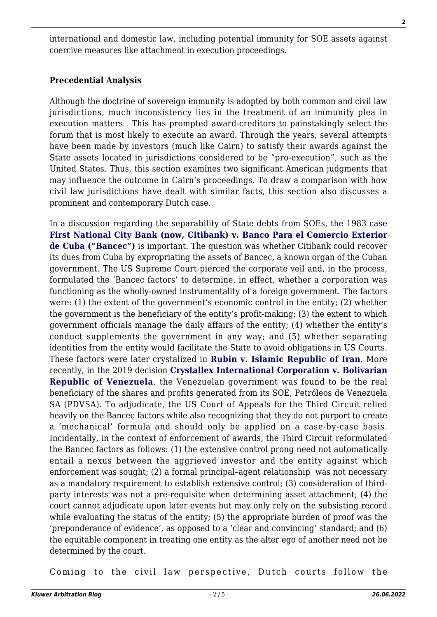international and domestic law, including potential immunity for SOE assets against coercive measures like attachment in execution proceedings.

#### **Precedential Analysis**

Although the doctrine of sovereign immunity is adopted by both common and civil law jurisdictions, much inconsistency lies in the treatment of an immunity plea in execution matters. This has prompted award-creditors to painstakingly select the forum that is most likely to execute an award. Through the years, several attempts have been made by investors (much like Cairn) to satisfy their awards against the State assets located in jurisdictions considered to be "pro-execution", such as the United States. Thus, this section examines two significant American judgments that may influence the outcome in Cairn's proceedings. To draw a comparison with how civil law jurisdictions have dealt with similar facts, this section also discusses a prominent and contemporary Dutch case.

In a discussion regarding the separability of State debts from SOEs, the 1983 case **[First National City Bank \(now, Citibank\) v. Banco Para el Comercio Exterior](https://www.law.cornell.edu/supremecourt/text/462/611) [de Cuba \("Bancec"\)](https://www.law.cornell.edu/supremecourt/text/462/611)** is important. The question was whether Citibank could recover its dues from Cuba by expropriating the assets of Bancec, a known organ of the Cuban government. The US Supreme Court pierced the corporate veil and, in the process, formulated the 'Bancec factors' to determine, in effect, whether a corporation was functioning as the wholly-owned instrumentality of a foreign government. The factors were: (1) the extent of the government's economic control in the entity; (2) whether the government is the beneficiary of the entity's profit-making; (3) the extent to which government officials manage the daily affairs of the entity; (4) whether the entity's conduct supplements the government in any way; and (5) whether separating identities from the entity would facilitate the State to avoid obligations in US Courts. These factors were later crystalized in **[Rubin v. Islamic Republic of Iran](https://www.supremecourt.gov/opinions/17pdf/16-534_6jfm.pdf)**. More recently, in the 2019 decision **[Crystallex International Corporation v. Bolivarian](https://www.italaw.com/sites/default/files/case-documents/italaw10704.pdf) [Republic of Venezuela](https://www.italaw.com/sites/default/files/case-documents/italaw10704.pdf)**, the Venezuelan government was found to be the real beneficiary of the shares and profits generated from its SOE, Petróleos de Venezuela SA (PDVSA). To adjudicate, the US Court of Appeals for the Third Circuit relied heavily on the Bancec factors while also recognizing that they do not purport to create a 'mechanical' formula and should only be applied on a case-by-case basis. Incidentally, in the context of enforcement of awards, the Third Circuit reformulated the Bancec factors as follows: (1) the extensive control prong need not automatically entail a nexus between the aggrieved investor and the entity against which enforcement was sought; (2) a formal principal–agent relationship was not necessary as a mandatory requirement to establish extensive control; (3) consideration of thirdparty interests was not a pre-requisite when determining asset attachment; (4) the court cannot adjudicate upon later events but may only rely on the subsisting record while evaluating the status of the entity; (5) the appropriate burden of proof was the 'preponderance of evidence', as opposed to a 'clear and convincing' standard; and (6) the equitable component in treating one entity as the alter ego of another need not be determined by the court.

Coming to the civil law perspective, Dutch courts follow the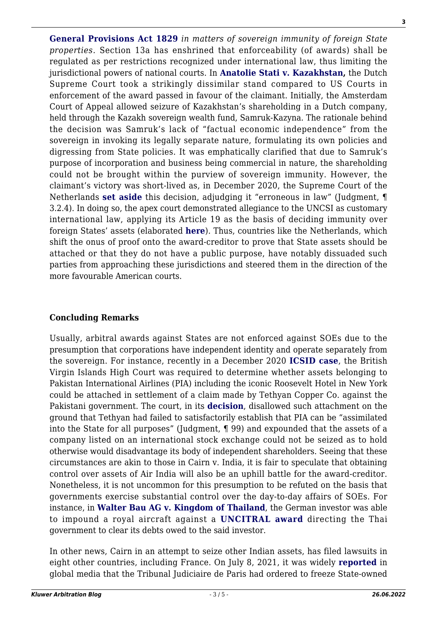**[General Provisions Act 1829](https://wetten.overheid.nl/BWBR0001833/2012-01-01)** *in matters of sovereign immunity of foreign State properties.* Section 13a has enshrined that enforceability (of awards) shall be regulated as per restrictions recognized under international law, thus limiting the jurisdictional powers of national courts. In **[Anatolie Stati v. Kazakhstan,](https://www.italaw.com/cases/2358)** the Dutch Supreme Court took a strikingly dissimilar stand compared to US Courts in enforcement of the award passed in favour of the claimant. Initially, the Amsterdam Court of Appeal allowed seizure of Kazakhstan's shareholding in a Dutch company, held through the Kazakh sovereign wealth fund, Samruk-Kazyna. The rationale behind the decision was Samruk's lack of "factual economic independence" from the sovereign in invoking its legally separate nature, formulating its own policies and digressing from State policies. It was emphatically clarified that due to Samruk's purpose of incorporation and business being commercial in nature, the shareholding could not be brought within the purview of sovereign immunity. However, the claimant's victory was short-lived as, in December 2020, the Supreme Court of the Netherlands **[set aside](https://files.lbr.cloud/public/2021-01/Translation%20Judgment%20Supreme%20Court%2018%20December%202020%20Samruk.DOCX?ntZdWroK3AShh2PWIImybg4F8YA1fr9T=)** this decision, adjudging it "erroneous in law" (Judgment, ¶ 3.2.4). In doing so, the apex court demonstrated allegiance to the UNCSI as customary international law, applying its Article 19 as the basis of deciding immunity over foreign States' assets (elaborated **[here](http://arbitrationblog.kluwerarbitration.com/2017/04/25/state-immunity-from-enforcement-in-the-netherlands-will-creditors-be-left-empty-handed/)**). Thus, countries like the Netherlands, which shift the onus of proof onto the award-creditor to prove that State assets should be attached or that they do not have a public purpose, have notably dissuaded such parties from approaching these jurisdictions and steered them in the direction of the more favourable American courts.

### **Concluding Remarks**

Usually, arbitral awards against States are not enforced against SOEs due to the presumption that corporations have independent identity and operate separately from the sovereign. For instance, recently in a December 2020 **[ICSID case](https://www.italaw.com/cases/1631)**, the British Virgin Islands High Court was required to determine whether assets belonging to Pakistan International Airlines (PIA) including the iconic Roosevelt Hotel in New York could be attached in settlement of a claim made by Tethyan Copper Co. against the Pakistani government. The court, in its **[decision](https://jusmundi.com/fr/document/decision/en-tethyan-copper-company-pty-limited-v-islamic-republic-of-pakistan-judgment-of-the-hight-court-of-justice-of-the-british-virgin-islands-tuesday-25th-may-2021)**, disallowed such attachment on the ground that Tethyan had failed to satisfactorily establish that PIA can be "assimilated into the State for all purposes" (Judgment, ¶ 99) and expounded that the assets of a company listed on an international stock exchange could not be seized as to hold otherwise would disadvantage its body of independent shareholders. Seeing that these circumstances are akin to those in Cairn v. India, it is fair to speculate that obtaining control over assets of Air India will also be an uphill battle for the award-creditor. Nonetheless, it is not uncommon for this presumption to be refuted on the basis that governments exercise substantial control over the day-to-day affairs of SOEs. For instance, in **[Walter Bau AG v. Kingdom of Thailand](https://www.italaw.com/cases/123)**, the German investor was able to impound a royal aircraft against a **[UNCITRAL award](https://www.italaw.com/sites/default/files/case-documents/ita0067.pdf)** directing the Thai government to clear its debts owed to the said investor.

In other news, Cairn in an attempt to seize other Indian assets, has filed lawsuits in eight other countries, including France. On July 8, 2021, it was widely **[reported](https://www.ft.com/content/ac0e2c3d-e50c-418e-a43a-5a8ca2c803ad#comments-anchor)** in global media that the Tribunal Judiciaire de Paris had ordered to freeze State-owned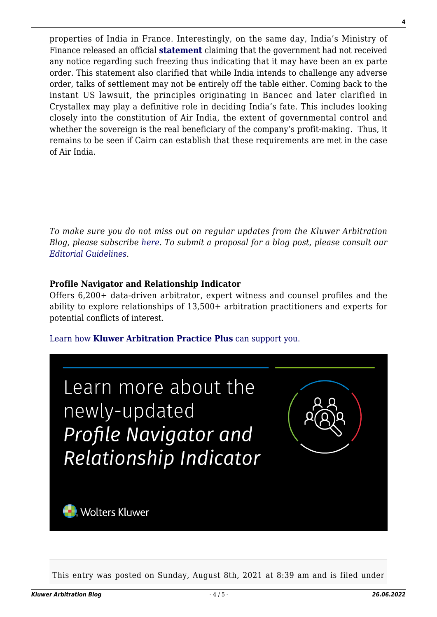properties of India in France. Interestingly, on the same day, India's Ministry of Finance released an official **[statement](https://www.pib.gov.in/PressReleseDetailm.aspx?PRID=1733612)** claiming that the government had not received any notice regarding such freezing thus indicating that it may have been an ex parte order. This statement also clarified that while India intends to challenge any adverse order, talks of settlement may not be entirely off the table either. Coming back to the instant US lawsuit, the principles originating in Bancec and later clarified in Crystallex may play a definitive role in deciding India's fate. This includes looking closely into the constitution of Air India, the extent of governmental control and whether the sovereign is the real beneficiary of the company's profit-making. Thus, it remains to be seen if Cairn can establish that these requirements are met in the case of Air India.

*To make sure you do not miss out on regular updates from the Kluwer Arbitration Blog, please subscribe [here](http://arbitrationblog.kluwerarbitration.com/newsletter/). To submit a proposal for a blog post, please consult our [Editorial Guidelines.](http://arbitrationblog.kluwerarbitration.com/editorial-guidelines/)*

#### **Profile Navigator and Relationship Indicator**

 $\mathcal{L}_\text{max}$ 

Offers 6,200+ data-driven arbitrator, expert witness and counsel profiles and the ability to explore relationships of 13,500+ arbitration practitioners and experts for potential conflicts of interest.

#### [Learn how](https://www.wolterskluwer.com/en/solutions/kluwerarbitration/practiceplus?utm_source=arbitrationblog&utm_medium=articleCTA&utm_campaign=article-banner) **[Kluwer Arbitration Practice Plus](https://www.wolterskluwer.com/en/solutions/kluwerarbitration/practiceplus?utm_source=arbitrationblog&utm_medium=articleCTA&utm_campaign=article-banner)** [can support you.](https://www.wolterskluwer.com/en/solutions/kluwerarbitration/practiceplus?utm_source=arbitrationblog&utm_medium=articleCTA&utm_campaign=article-banner)



This entry was posted on Sunday, August 8th, 2021 at 8:39 am and is filed under